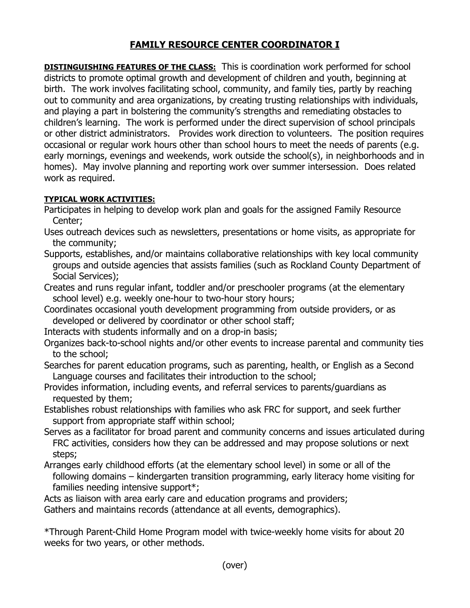## **FAMILY RESOURCE CENTER COORDINATOR I**

**DISTINGUISHING FEATURES OF THE CLASS:** This is coordination work performed for school districts to promote optimal growth and development of children and youth, beginning at birth. The work involves facilitating school, community, and family ties, partly by reaching out to community and area organizations, by creating trusting relationships with individuals, and playing a part in bolstering the community's strengths and remediating obstacles to children's learning. The work is performed under the direct supervision of school principals or other district administrators. Provides work direction to volunteers. The position requires occasional or regular work hours other than school hours to meet the needs of parents (e.g. early mornings, evenings and weekends, work outside the school(s), in neighborhoods and in homes). May involve planning and reporting work over summer intersession. Does related work as required.

## **TYPICAL WORK ACTIVITIES:**

- Participates in helping to develop work plan and goals for the assigned Family Resource Center;
- Uses outreach devices such as newsletters, presentations or home visits, as appropriate for the community;
- Supports, establishes, and/or maintains collaborative relationships with key local community groups and outside agencies that assists families (such as Rockland County Department of Social Services);
- Creates and runs regular infant, toddler and/or preschooler programs (at the elementary school level) e.g. weekly one-hour to two-hour story hours;
- Coordinates occasional youth development programming from outside providers, or as developed or delivered by coordinator or other school staff;
- Interacts with students informally and on a drop-in basis;
- Organizes back-to-school nights and/or other events to increase parental and community ties to the school;
- Searches for parent education programs, such as parenting, health, or English as a Second Language courses and facilitates their introduction to the school;
- Provides information, including events, and referral services to parents/guardians as requested by them;
- Establishes robust relationships with families who ask FRC for support, and seek further support from appropriate staff within school;
- Serves as a facilitator for broad parent and community concerns and issues articulated during FRC activities, considers how they can be addressed and may propose solutions or next steps;
- Arranges early childhood efforts (at the elementary school level) in some or all of the following domains – kindergarten transition programming, early literacy home visiting for families needing intensive support\*;

Acts as liaison with area early care and education programs and providers;

Gathers and maintains records (attendance at all events, demographics).

\*Through Parent-Child Home Program model with twice-weekly home visits for about 20 weeks for two years, or other methods.